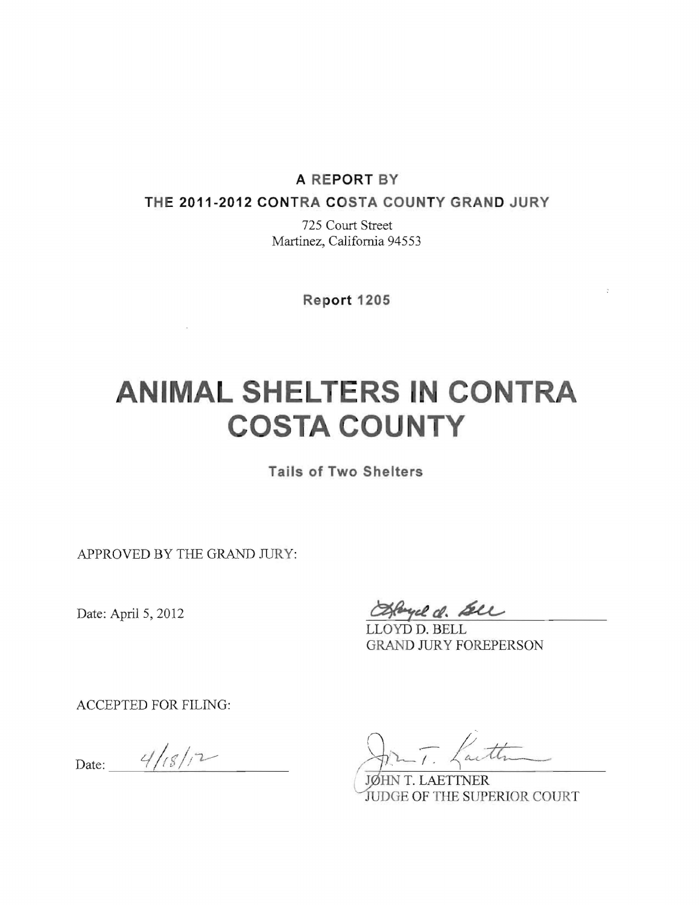#### **A REPORT BY**

**THE 2011-2012 CONTRA COSTA COUNTY GRAND JURY** 

725 Court Street Martinez, California 94553

**Report 1205** 

# **ANIMAL SHELTERS IN CONTRA COSTA COUNTY**

**Tails of Two Shelters** 

APPROVED BY THE GRAND JURY:

 $\sim$ 

Date: April 5, 2012

byce d. Sell

LLOYD D. BELL GRAND JURY FOREPERSON

 $\bar{z}$ 

ACCEPTED FOR FILING:

Date:  $4/18/12$ 

Lath

JØHN T. LAETTNER JUDGE OF THE SUPERIOR COURT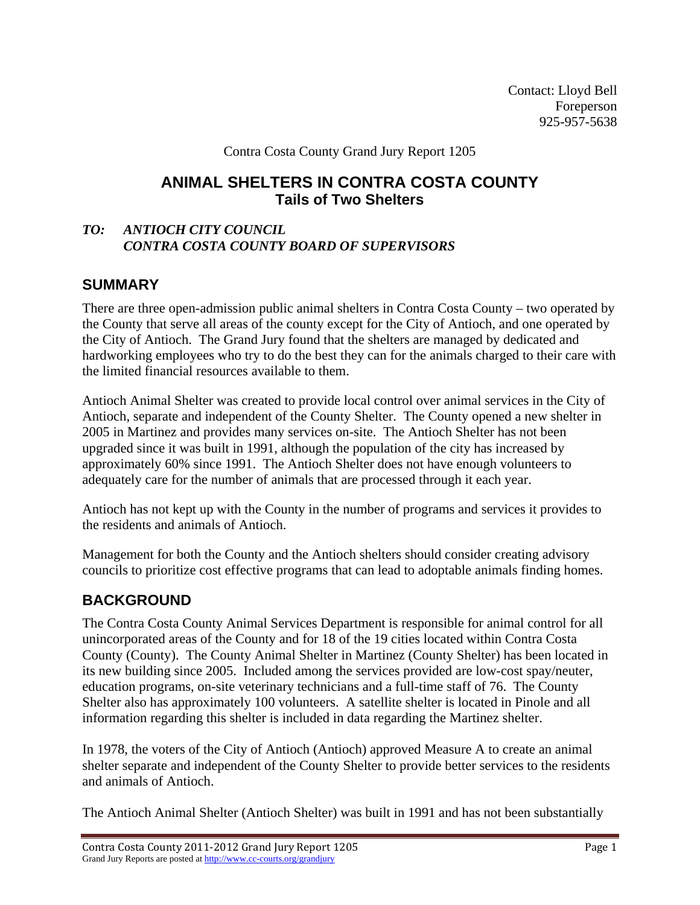Contact: Lloyd Bell Foreperson 925-957-5638

Contra Costa County Grand Jury Report 1205

# **ANIMAL SHELTERS IN CONTRA COSTA COUNTY Tails of Two Shelters**

#### *TO: ANTIOCH CITY COUNCIL CONTRA COSTA COUNTY BOARD OF SUPERVISORS*

# **SUMMARY**

There are three open-admission public animal shelters in Contra Costa County – two operated by the County that serve all areas of the county except for the City of Antioch, and one operated by the City of Antioch. The Grand Jury found that the shelters are managed by dedicated and hardworking employees who try to do the best they can for the animals charged to their care with the limited financial resources available to them.

Antioch Animal Shelter was created to provide local control over animal services in the City of Antioch, separate and independent of the County Shelter. The County opened a new shelter in 2005 in Martinez and provides many services on-site. The Antioch Shelter has not been upgraded since it was built in 1991, although the population of the city has increased by approximately 60% since 1991. The Antioch Shelter does not have enough volunteers to adequately care for the number of animals that are processed through it each year.

Antioch has not kept up with the County in the number of programs and services it provides to the residents and animals of Antioch.

Management for both the County and the Antioch shelters should consider creating advisory councils to prioritize cost effective programs that can lead to adoptable animals finding homes.

# **BACKGROUND**

The Contra Costa County Animal Services Department is responsible for animal control for all unincorporated areas of the County and for 18 of the 19 cities located within Contra Costa County (County). The County Animal Shelter in Martinez (County Shelter) has been located in its new building since 2005. Included among the services provided are low-cost spay/neuter, education programs, on-site veterinary technicians and a full-time staff of 76. The County Shelter also has approximately 100 volunteers. A satellite shelter is located in Pinole and all information regarding this shelter is included in data regarding the Martinez shelter.

In 1978, the voters of the City of Antioch (Antioch) approved Measure A to create an animal shelter separate and independent of the County Shelter to provide better services to the residents and animals of Antioch.

The Antioch Animal Shelter (Antioch Shelter) was built in 1991 and has not been substantially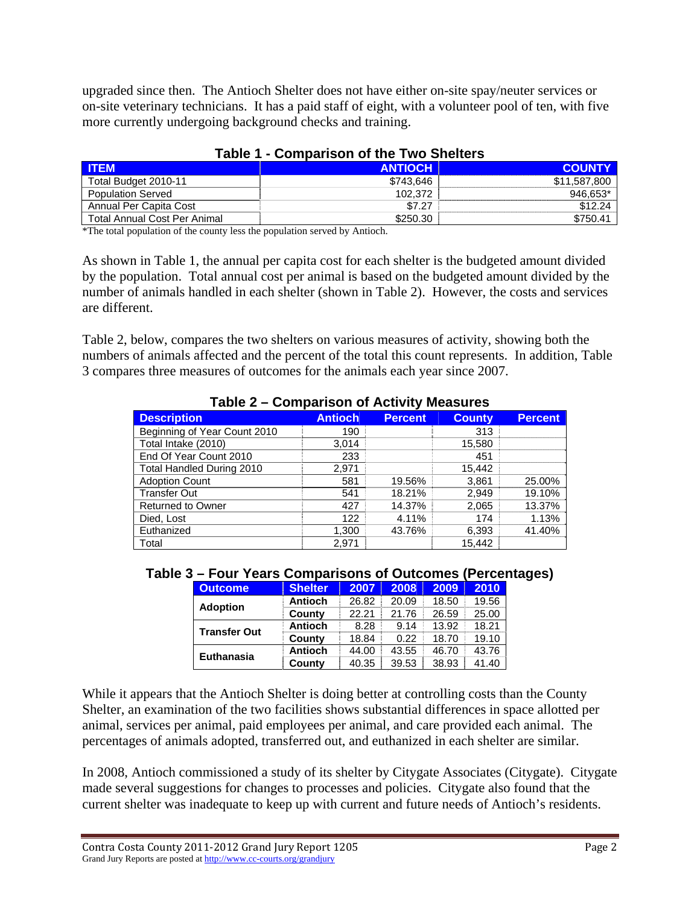upgraded since then. The Antioch Shelter does not have either on-site spay/neuter services or on-site veterinary technicians. It has a paid staff of eight, with a volunteer pool of ten, with five more currently undergoing background checks and training.

| <b>ITEM</b>                  | <b>ANTIOCH</b> | <b>COUNTY</b> |
|------------------------------|----------------|---------------|
| Total Budget 2010-11         | \$743.646      | \$11.587.800  |
| <b>Population Served</b>     | 102.372        | 946.653*      |
| Annual Per Capita Cost       | \$7.27         | \$12.24       |
| Total Annual Cost Per Animal | \$250.30       | \$750.41      |

#### **Table 1 - Comparison of the Two Shelters**

\*The total population of the county less the population served by Antioch.

As shown in Table 1, the annual per capita cost for each shelter is the budgeted amount divided by the population. Total annual cost per animal is based on the budgeted amount divided by the number of animals handled in each shelter (shown in Table 2). However, the costs and services are different.

Table 2, below, compares the two shelters on various measures of activity, showing both the numbers of animals affected and the percent of the total this count represents. In addition, Table 3 compares three measures of outcomes for the animals each year since 2007.

| <b>Description</b>           | <b>Antioch</b> | <b>Percent</b> | <b>County</b> | <b>Percent</b> |  |  |
|------------------------------|----------------|----------------|---------------|----------------|--|--|
| Beginning of Year Count 2010 | 190            |                | 313           |                |  |  |
| Total Intake (2010)          | 3,014          |                | 15,580        |                |  |  |
| End Of Year Count 2010       | 233            |                | 451           |                |  |  |
| Total Handled During 2010    | 2,971          |                | 15,442        |                |  |  |
| <b>Adoption Count</b>        | 581            | 19.56%         | 3,861         | 25.00%         |  |  |
| <b>Transfer Out</b>          | 541            | 18.21%         | 2,949         | 19.10%         |  |  |
| <b>Returned to Owner</b>     | 427            | 14.37%         | 2,065         | 13.37%         |  |  |
| Died, Lost                   | 122            | 4.11%          | 174           | 1.13%          |  |  |
| Euthanized                   | 1,300          | 43.76%         | 6,393         | 41.40%         |  |  |
| Total                        | 2.971          |                | 15.442        |                |  |  |

#### **Table 2 – Comparison of Activity Measures**

#### **Table 3 – Four Years Comparisons of Outcomes (Percentages)**

| <b>Outcome</b>      | <b>Shelter</b> | 2007  | 2008  | 2009  | 2010  |
|---------------------|----------------|-------|-------|-------|-------|
| <b>Adoption</b>     | <b>Antioch</b> | 26.82 | 20.09 | 18.50 | 19.56 |
|                     | County         | 22.21 | 21.76 | 26.59 | 25.00 |
| <b>Transfer Out</b> | <b>Antioch</b> | 8.28  | 9.14  | 13.92 | 18.21 |
|                     | County         | 18.84 | 0.22  | 18.70 | 19.10 |
| <b>Euthanasia</b>   | <b>Antioch</b> | 44.00 | 43.55 | 46.70 | 43.76 |
|                     | County         | 40.35 | 39.53 | 38.93 | 41.40 |

While it appears that the Antioch Shelter is doing better at controlling costs than the County Shelter, an examination of the two facilities shows substantial differences in space allotted per animal, services per animal, paid employees per animal, and care provided each animal. The percentages of animals adopted, transferred out, and euthanized in each shelter are similar.

In 2008, Antioch commissioned a study of its shelter by Citygate Associates (Citygate). Citygate made several suggestions for changes to processes and policies. Citygate also found that the current shelter was inadequate to keep up with current and future needs of Antioch's residents.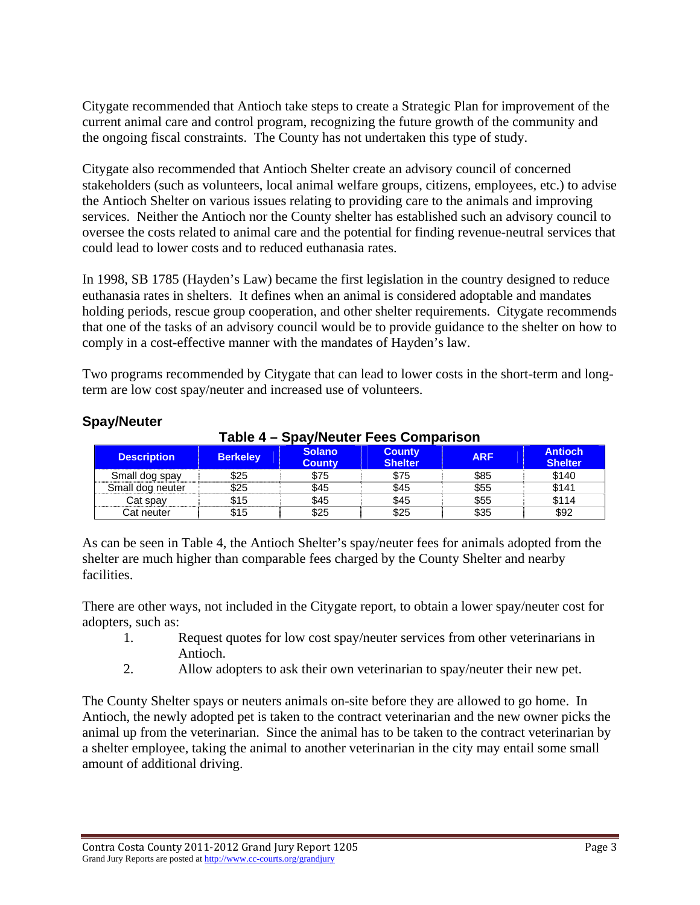Citygate recommended that Antioch take steps to create a Strategic Plan for improvement of the current animal care and control program, recognizing the future growth of the community and the ongoing fiscal constraints. The County has not undertaken this type of study.

Citygate also recommended that Antioch Shelter create an advisory council of concerned stakeholders (such as volunteers, local animal welfare groups, citizens, employees, etc.) to advise the Antioch Shelter on various issues relating to providing care to the animals and improving services. Neither the Antioch nor the County shelter has established such an advisory council to oversee the costs related to animal care and the potential for finding revenue-neutral services that could lead to lower costs and to reduced euthanasia rates.

In 1998, SB 1785 (Hayden's Law) became the first legislation in the country designed to reduce euthanasia rates in shelters. It defines when an animal is considered adoptable and mandates holding periods, rescue group cooperation, and other shelter requirements. Citygate recommends that one of the tasks of an advisory council would be to provide guidance to the shelter on how to comply in a cost-effective manner with the mandates of Hayden's law.

Two programs recommended by Citygate that can lead to lower costs in the short-term and longterm are low cost spay/neuter and increased use of volunteers.

| Table 4 – Spay/Neuter Fees Comparison |                 |                                |                                 |            |                                  |
|---------------------------------------|-----------------|--------------------------------|---------------------------------|------------|----------------------------------|
| <b>Description</b>                    | <b>Berkeley</b> | <b>Solano</b><br><b>County</b> | <b>County</b><br><b>Shelter</b> | <b>ARF</b> | <b>Antioch</b><br><b>Shelter</b> |
| Small dog spay                        | \$25            | \$75                           | \$75                            | \$85       | \$140                            |
| Small dog neuter                      | \$25            | \$45                           | \$45                            | \$55       | \$141                            |
| Cat spay                              | \$15            | \$45                           | \$45                            | \$55       | \$114                            |
| Cat neuter                            | \$15            | \$25                           | \$25                            | \$35       | \$92                             |

#### **Spay/Neuter**

As can be seen in Table 4, the Antioch Shelter's spay/neuter fees for animals adopted from the shelter are much higher than comparable fees charged by the County Shelter and nearby facilities.

There are other ways, not included in the Citygate report, to obtain a lower spay/neuter cost for adopters, such as:

- 1. Request quotes for low cost spay/neuter services from other veterinarians in Antioch.
- 2. Allow adopters to ask their own veterinarian to spay/neuter their new pet.

The County Shelter spays or neuters animals on-site before they are allowed to go home. In Antioch, the newly adopted pet is taken to the contract veterinarian and the new owner picks the animal up from the veterinarian. Since the animal has to be taken to the contract veterinarian by a shelter employee, taking the animal to another veterinarian in the city may entail some small amount of additional driving.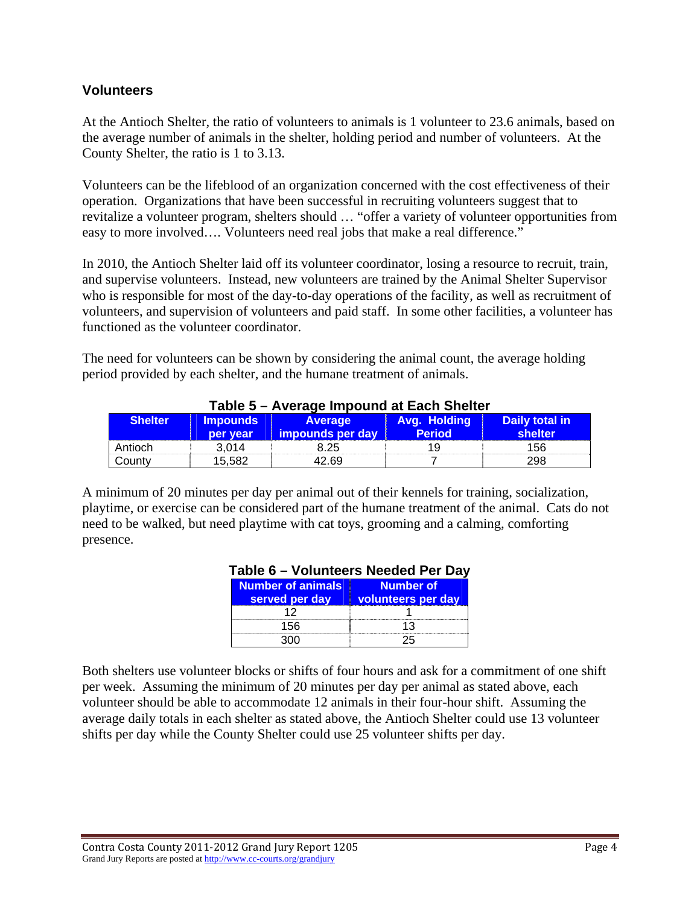#### **Volunteers**

At the Antioch Shelter, the ratio of volunteers to animals is 1 volunteer to 23.6 animals, based on the average number of animals in the shelter, holding period and number of volunteers. At the County Shelter, the ratio is 1 to 3.13.

Volunteers can be the lifeblood of an organization concerned with the cost effectiveness of their operation. Organizations that have been successful in recruiting volunteers suggest that to revitalize a volunteer program, shelters should … "offer a variety of volunteer opportunities from easy to more involved…. Volunteers need real jobs that make a real difference."

In 2010, the Antioch Shelter laid off its volunteer coordinator, losing a resource to recruit, train, and supervise volunteers. Instead, new volunteers are trained by the Animal Shelter Supervisor who is responsible for most of the day-to-day operations of the facility, as well as recruitment of volunteers, and supervision of volunteers and paid staff. In some other facilities, a volunteer has functioned as the volunteer coordinator.

The need for volunteers can be shown by considering the animal count, the average holding period provided by each shelter, and the humane treatment of animals.

| $1$ abic J $-$ Avciage Impound at Each Onciter |                             |                             |                               |                            |  |
|------------------------------------------------|-----------------------------|-----------------------------|-------------------------------|----------------------------|--|
| <b>Shelter</b>                                 | <b>Impounds</b><br>per year | Average<br>impounds per day | Avg. Holding<br><b>Period</b> | Daily total in<br>shelter. |  |
| Antioch                                        | 3.014                       | 8.25                        | 1 U                           | 156                        |  |
| County                                         | 15.582                      | 42.69                       |                               | 298                        |  |

#### **Table 5 – Average Impound at Each Shelter**

A minimum of 20 minutes per day per animal out of their kennels for training, socialization, playtime, or exercise can be considered part of the humane treatment of the animal. Cats do not need to be walked, but need playtime with cat toys, grooming and a calming, comforting presence.

#### **Table 6 – Volunteers Needed Per Day**

| Number of animals | <b>Number of</b>   |
|-------------------|--------------------|
| served per day    | volunteers per day |
|                   |                    |
| 156               |                    |
|                   |                    |

Both shelters use volunteer blocks or shifts of four hours and ask for a commitment of one shift per week. Assuming the minimum of 20 minutes per day per animal as stated above, each volunteer should be able to accommodate 12 animals in their four-hour shift. Assuming the average daily totals in each shelter as stated above, the Antioch Shelter could use 13 volunteer shifts per day while the County Shelter could use 25 volunteer shifts per day.